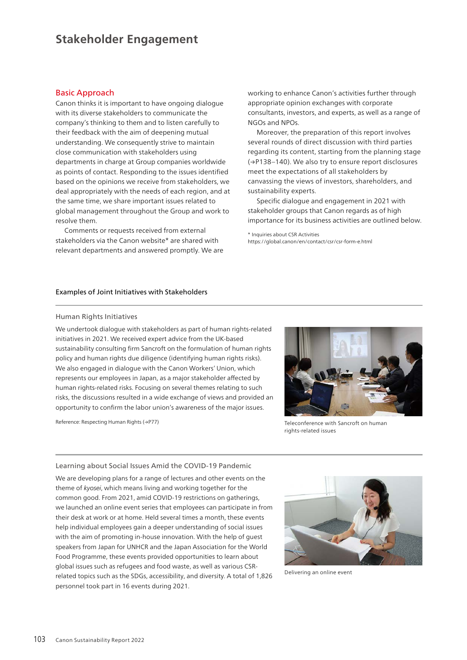# **Stakeholder Engagement**

## Basic Approach

Canon thinks it is important to have ongoing dialogue with its diverse stakeholders to communicate the company's thinking to them and to listen carefully to their feedback with the aim of deepening mutual understanding. We consequently strive to maintain close communication with stakeholders using departments in charge at Group companies worldwide as points of contact. Responding to the issues identified based on the opinions we receive from stakeholders, we deal appropriately with the needs of each region, and at the same time, we share important issues related to global management throughout the Group and work to resolve them.

Comments or requests received from external stakeholders via the Canon website\* are shared with relevant departments and answered promptly. We are working to enhance Canon's activities further through appropriate opinion exchanges with corporate consultants, investors, and experts, as well as a range of NGOs and NPOs.

Moreover, the preparation of this report involves several rounds of direct discussion with third parties regarding its content, starting from the planning stage (→P138–140). We also try to ensure report disclosures meet the expectations of all stakeholders by canvassing the views of investors, shareholders, and sustainability experts.

Specific dialogue and engagement in 2021 with stakeholder groups that Canon regards as of high importance for its business activities are outlined below.

\* Inquiries about CSR Activities https://global.canon/en/contact/csr/csr-form-e.html

### Examples of Joint Initiatives with Stakeholders

#### Human Rights Initiatives

We undertook dialogue with stakeholders as part of human rights-related initiatives in 2021. We received expert advice from the UK-based sustainability consulting firm Sancroft on the formulation of human rights policy and human rights due diligence (identifying human rights risks). We also engaged in dialogue with the Canon Workers' Union, which represents our employees in Japan, as a major stakeholder affected by human rights-related risks. Focusing on several themes relating to such risks, the discussions resulted in a wide exchange of views and provided an opportunity to confirm the labor union's awareness of the major issues.

Reference: Respecting Human Rights (→P77)



Teleconference with Sancroft on human rights-related issues

#### Learning about Social Issues Amid the COVID-19 Pandemic

We are developing plans for a range of lectures and other events on the theme of *kyosei*, which means living and working together for the common good. From 2021, amid COVID-19 restrictions on gatherings, we launched an online event series that employees can participate in from their desk at work or at home. Held several times a month, these events help individual employees gain a deeper understanding of social issues with the aim of promoting in-house innovation. With the help of quest speakers from Japan for UNHCR and the Japan Association for the World Food Programme, these events provided opportunities to learn about global issues such as refugees and food waste, as well as various CSRrelated topics such as the SDGs, accessibility, and diversity. A total of 1,826 personnel took part in 16 events during 2021.



Delivering an online event